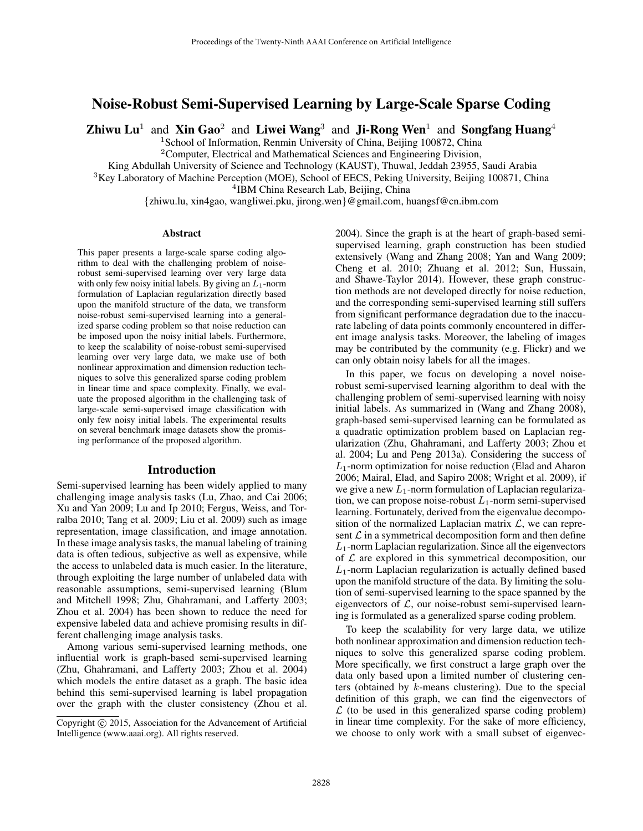# Noise-Robust Semi-Supervised Learning by Large-Scale Sparse Coding

Zhiwu Lu<sup>1</sup> and Xin Gao<sup>2</sup> and Liwei Wang<sup>3</sup> and Ji-Rong Wen<sup>1</sup> and Songfang Huang<sup>4</sup>

<sup>1</sup> School of Information, Renmin University of China, Beijing 100872, China

<sup>2</sup>Computer, Electrical and Mathematical Sciences and Engineering Division,

King Abdullah University of Science and Technology (KAUST), Thuwal, Jeddah 23955, Saudi Arabia

<sup>3</sup>Key Laboratory of Machine Perception (MOE), School of EECS, Peking University, Beijing 100871, China

4 IBM China Research Lab, Beijing, China

{zhiwu.lu, xin4gao, wangliwei.pku, jirong.wen}@gmail.com, huangsf@cn.ibm.com

### Abstract

This paper presents a large-scale sparse coding algorithm to deal with the challenging problem of noiserobust semi-supervised learning over very large data with only few noisy initial labels. By giving an  $L_1$ -norm formulation of Laplacian regularization directly based upon the manifold structure of the data, we transform noise-robust semi-supervised learning into a generalized sparse coding problem so that noise reduction can be imposed upon the noisy initial labels. Furthermore, to keep the scalability of noise-robust semi-supervised learning over very large data, we make use of both nonlinear approximation and dimension reduction techniques to solve this generalized sparse coding problem in linear time and space complexity. Finally, we evaluate the proposed algorithm in the challenging task of large-scale semi-supervised image classification with only few noisy initial labels. The experimental results on several benchmark image datasets show the promising performance of the proposed algorithm.

#### Introduction

Semi-supervised learning has been widely applied to many challenging image analysis tasks (Lu, Zhao, and Cai 2006; Xu and Yan 2009; Lu and Ip 2010; Fergus, Weiss, and Torralba 2010; Tang et al. 2009; Liu et al. 2009) such as image representation, image classification, and image annotation. In these image analysis tasks, the manual labeling of training data is often tedious, subjective as well as expensive, while the access to unlabeled data is much easier. In the literature, through exploiting the large number of unlabeled data with reasonable assumptions, semi-supervised learning (Blum and Mitchell 1998; Zhu, Ghahramani, and Lafferty 2003; Zhou et al. 2004) has been shown to reduce the need for expensive labeled data and achieve promising results in different challenging image analysis tasks.

Among various semi-supervised learning methods, one influential work is graph-based semi-supervised learning (Zhu, Ghahramani, and Lafferty 2003; Zhou et al. 2004) which models the entire dataset as a graph. The basic idea behind this semi-supervised learning is label propagation over the graph with the cluster consistency (Zhou et al.

2004). Since the graph is at the heart of graph-based semisupervised learning, graph construction has been studied extensively (Wang and Zhang 2008; Yan and Wang 2009; Cheng et al. 2010; Zhuang et al. 2012; Sun, Hussain, and Shawe-Taylor 2014). However, these graph construction methods are not developed directly for noise reduction, and the corresponding semi-supervised learning still suffers from significant performance degradation due to the inaccurate labeling of data points commonly encountered in different image analysis tasks. Moreover, the labeling of images may be contributed by the community (e.g. Flickr) and we can only obtain noisy labels for all the images.

In this paper, we focus on developing a novel noiserobust semi-supervised learning algorithm to deal with the challenging problem of semi-supervised learning with noisy initial labels. As summarized in (Wang and Zhang 2008), graph-based semi-supervised learning can be formulated as a quadratic optimization problem based on Laplacian regularization (Zhu, Ghahramani, and Lafferty 2003; Zhou et al. 2004; Lu and Peng 2013a). Considering the success of  $L_1$ -norm optimization for noise reduction (Elad and Aharon 2006; Mairal, Elad, and Sapiro 2008; Wright et al. 2009), if we give a new  $L_1$ -norm formulation of Laplacian regularization, we can propose noise-robust  $L_1$ -norm semi-supervised learning. Fortunately, derived from the eigenvalue decomposition of the normalized Laplacian matrix  $\mathcal{L}$ , we can represent  $\mathcal L$  in a symmetrical decomposition form and then define  $L_1$ -norm Laplacian regularization. Since all the eigenvectors of  $\mathcal L$  are explored in this symmetrical decomposition, our  $L_1$ -norm Laplacian regularization is actually defined based upon the manifold structure of the data. By limiting the solution of semi-supervised learning to the space spanned by the eigenvectors of  $\mathcal{L}$ , our noise-robust semi-supervised learning is formulated as a generalized sparse coding problem.

To keep the scalability for very large data, we utilize both nonlinear approximation and dimension reduction techniques to solve this generalized sparse coding problem. More specifically, we first construct a large graph over the data only based upon a limited number of clustering centers (obtained by k-means clustering). Due to the special definition of this graph, we can find the eigenvectors of  $\mathcal L$  (to be used in this generalized sparse coding problem) in linear time complexity. For the sake of more efficiency, we choose to only work with a small subset of eigenvec-

Copyright (c) 2015, Association for the Advancement of Artificial Intelligence (www.aaai.org). All rights reserved.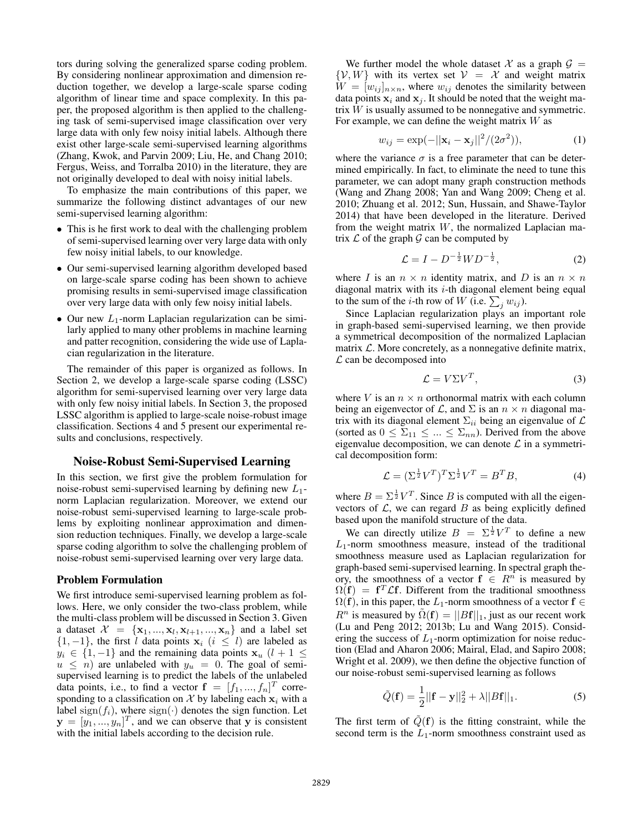tors during solving the generalized sparse coding problem. By considering nonlinear approximation and dimension reduction together, we develop a large-scale sparse coding algorithm of linear time and space complexity. In this paper, the proposed algorithm is then applied to the challenging task of semi-supervised image classification over very large data with only few noisy initial labels. Although there exist other large-scale semi-supervised learning algorithms (Zhang, Kwok, and Parvin 2009; Liu, He, and Chang 2010; Fergus, Weiss, and Torralba 2010) in the literature, they are not originally developed to deal with noisy initial labels.

To emphasize the main contributions of this paper, we summarize the following distinct advantages of our new semi-supervised learning algorithm:

- This is he first work to deal with the challenging problem of semi-supervised learning over very large data with only few noisy initial labels, to our knowledge.
- Our semi-supervised learning algorithm developed based on large-scale sparse coding has been shown to achieve promising results in semi-supervised image classification over very large data with only few noisy initial labels.
- Our new  $L_1$ -norm Laplacian regularization can be similarly applied to many other problems in machine learning and patter recognition, considering the wide use of Laplacian regularization in the literature.

The remainder of this paper is organized as follows. In Section 2, we develop a large-scale sparse coding (LSSC) algorithm for semi-supervised learning over very large data with only few noisy initial labels. In Section 3, the proposed LSSC algorithm is applied to large-scale noise-robust image classification. Sections 4 and 5 present our experimental results and conclusions, respectively.

## Noise-Robust Semi-Supervised Learning

In this section, we first give the problem formulation for noise-robust semi-supervised learning by defining new  $L_1$ norm Laplacian regularization. Moreover, we extend our noise-robust semi-supervised learning to large-scale problems by exploiting nonlinear approximation and dimension reduction techniques. Finally, we develop a large-scale sparse coding algorithm to solve the challenging problem of noise-robust semi-supervised learning over very large data.

### Problem Formulation

We first introduce semi-supervised learning problem as follows. Here, we only consider the two-class problem, while the multi-class problem will be discussed in Section 3. Given a dataset  $\mathcal{X} = \{ \mathbf{x}_1, ..., \mathbf{x}_l, \mathbf{x}_{l+1}, ..., \mathbf{x}_n \}$  and a label set  $\{1, -1\}$ , the first l data points  $x_i$  ( $i \leq l$ ) are labeled as  $y_i \in \{1, -1\}$  and the remaining data points  $x_u$   $(l + 1 \leq$  $u \leq n$ ) are unlabeled with  $y_u = 0$ . The goal of semisupervised learning is to predict the labels of the unlabeled data points, i.e., to find a vector  $f = [f_1, ..., f_n]^T$  corresponding to a classification on  $\mathcal X$  by labeling each  $x_i$  with a label sign( $f_i$ ), where sign( $\cdot$ ) denotes the sign function. Let  $\mathbf{y} = [y_1, ..., y_n]^T$ , and we can observe that y is consistent with the initial labels according to the decision rule.

We further model the whole dataset X as a graph  $\mathcal{G} =$  $\{V, W\}$  with its vertex set  $V = X$  and weight matrix  $W = [w_{ij}]_{n \times n}$ , where  $w_{ij}$  denotes the similarity between data points  $x_i$  and  $x_j$ . It should be noted that the weight matrix W is usually assumed to be nonnegative and symmetric. For example, we can define the weight matrix  $W$  as

$$
w_{ij} = \exp(-||\mathbf{x}_i - \mathbf{x}_j||^2/(2\sigma^2)),
$$
 (1)

where the variance  $\sigma$  is a free parameter that can be determined empirically. In fact, to eliminate the need to tune this parameter, we can adopt many graph construction methods (Wang and Zhang 2008; Yan and Wang 2009; Cheng et al. 2010; Zhuang et al. 2012; Sun, Hussain, and Shawe-Taylor 2014) that have been developed in the literature. Derived from the weight matrix  $W$ , the normalized Laplacian matrix  $\mathcal L$  of the graph  $\mathcal G$  can be computed by

$$
\mathcal{L} = I - D^{-\frac{1}{2}} W D^{-\frac{1}{2}},\tag{2}
$$

where I is an  $n \times n$  identity matrix, and D is an  $n \times n$ diagonal matrix with its  $i$ -th diagonal element being equal to the sum of the *i*-th row of W (i.e.  $\sum_j w_{ij}$ ).

Since Laplacian regularization plays an important role in graph-based semi-supervised learning, we then provide a symmetrical decomposition of the normalized Laplacian matrix  $\mathcal{L}$ . More concretely, as a nonnegative definite matrix,  $\mathcal L$  can be decomposed into

$$
\mathcal{L} = V\Sigma V^T,\tag{3}
$$

where V is an  $n \times n$  orthonormal matrix with each column being an eigenvector of  $\mathcal{L}$ , and  $\Sigma$  is an  $n \times n$  diagonal matrix with its diagonal element  $\Sigma_{ii}$  being an eigenvalue of  $\mathcal L$ (sorted as  $0 \leq \Sigma_{11} \leq ... \leq \Sigma_{nn}$ ). Derived from the above eigenvalue decomposition, we can denote  $\mathcal L$  in a symmetrical decomposition form:

$$
\mathcal{L} = (\Sigma^{\frac{1}{2}} V^T)^T \Sigma^{\frac{1}{2}} V^T = B^T B,\tag{4}
$$

where  $B = \sum_{i=1}^{\frac{1}{2}} V^T$ . Since B is computed with all the eigenvectors of  $\mathcal{L}$ , we can regard  $B$  as being explicitly defined based upon the manifold structure of the data.

We can directly utilize  $B = \sum_{i=1}^{n} V^T$  to define a new  $L_1$ -norm smoothness measure, instead of the traditional smoothness measure used as Laplacian regularization for graph-based semi-supervised learning. In spectral graph theory, the smoothness of a vector  $f \in R^n$  is measured by  $\Omega(f) = f^T \mathcal{L}f$ . Different from the traditional smoothness  $\Omega(f)$ , in this paper, the L<sub>1</sub>-norm smoothness of a vector  $f \in$  $R^n$  is measured by  $\Omega(f) = ||Bf||_1$ , just as our recent work (Lu and Peng 2012; 2013b; Lu and Wang 2015). Considering the success of  $L_1$ -norm optimization for noise reduction (Elad and Aharon 2006; Mairal, Elad, and Sapiro 2008; Wright et al. 2009), we then define the objective function of our noise-robust semi-supervised learning as follows

$$
\tilde{Q}(\mathbf{f}) = \frac{1}{2} ||\mathbf{f} - \mathbf{y}||_2^2 + \lambda ||B\mathbf{f}||_1.
$$
 (5)

The first term of  $\tilde{Q}(\mathbf{f})$  is the fitting constraint, while the second term is the  $L_1$ -norm smoothness constraint used as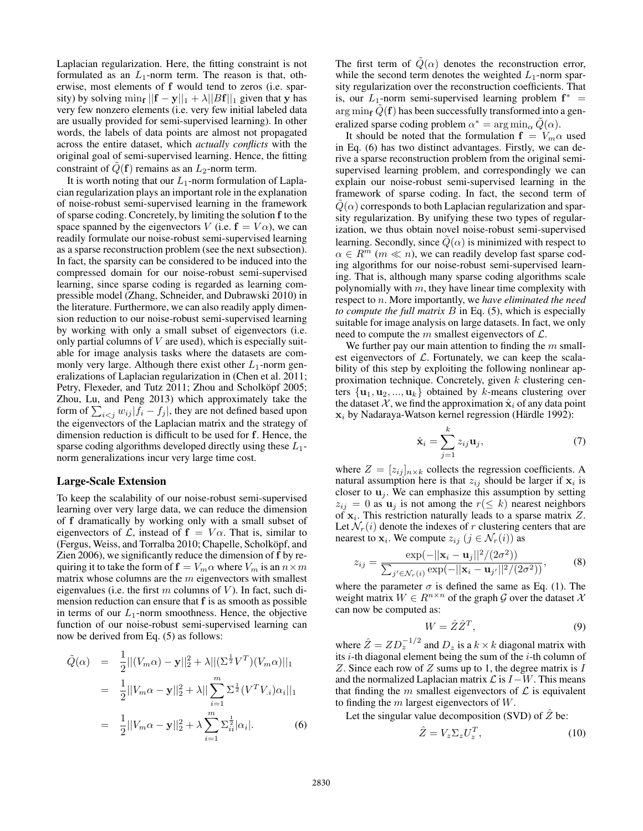Laplacian regularization. Here, the fitting constraint is not formulated as an  $L_1$ -norm term. The reason is that, otherwise, most elements of f would tend to zeros (i.e. sparsity) by solving  $\min_{\mathbf{f}} ||\mathbf{f} - \mathbf{y}||_1 + \lambda ||B\mathbf{f}||_1$  given that y has very few nonzero elements (i.e. very few initial labeled data are usually provided for semi-supervised learning). In other words, the labels of data points are almost not propagated across the entire dataset, which *actually conflicts* with the original goal of semi-supervised learning. Hence, the fitting constraint of  $\tilde{Q}(\mathbf{f})$  remains as an  $L_2$ -norm term.

It is worth noting that our  $L_1$ -norm formulation of Laplacian regularization plays an important role in the explanation of noise-robust semi-supervised learning in the framework of sparse coding. Concretely, by limiting the solution f to the space spanned by the eigenvectors V (i.e.  $f = V\alpha$ ), we can readily formulate our noise-robust semi-supervised learning as a sparse reconstruction problem (see the next subsection). In fact, the sparsity can be considered to be induced into the compressed domain for our noise-robust semi-supervised learning, since sparse coding is regarded as learning compressible model (Zhang, Schneider, and Dubrawski 2010) in the literature. Furthermore, we can also readily apply dimension reduction to our noise-robust semi-supervised learning by working with only a small subset of eigenvectors (i.e. only partial columns of  $V$  are used), which is especially suitable for image analysis tasks where the datasets are commonly very large. Although there exist other  $L_1$ -norm generalizations of Laplacian regularization in (Chen et al. 2011; Petry, Flexeder, and Tutz 2011; Zhou and Scholköpf 2005; Zhou, Lu, and Peng 2013) which approximately take the form of  $\sum_{i < j} w_{ij} |f_i - f_j|$ , they are not defined based upon the eigenvectors of the Laplacian matrix and the strategy of dimension reduction is difficult to be used for f. Hence, the sparse coding algorithms developed directly using these  $L_1$ norm generalizations incur very large time cost.

#### Large-Scale Extension

To keep the scalability of our noise-robust semi-supervised learning over very large data, we can reduce the dimension of f dramatically by working only with a small subset of eigenvectors of L, instead of  $f = V\alpha$ . That is, similar to (Fergus, Weiss, and Torralba 2010; Chapelle, Scholköpf, and Zien 2006), we significantly reduce the dimension of f by requiring it to take the form of  $f = V_m \alpha$  where  $V_m$  is an  $n \times m$ matrix whose columns are the  $m$  eigenvectors with smallest eigenvalues (i.e. the first m columns of V). In fact, such dimension reduction can ensure that f is as smooth as possible in terms of our  $L_1$ -norm smoothness. Hence, the objective function of our noise-robust semi-supervised learning can now be derived from Eq. (5) as follows:

$$
\tilde{Q}(\alpha) = \frac{1}{2} ||(V_m \alpha) - \mathbf{y}||_2^2 + \lambda ||(\Sigma^{\frac{1}{2}} V^T)(V_m \alpha)||_1
$$
  
\n
$$
= \frac{1}{2} ||V_m \alpha - \mathbf{y}||_2^2 + \lambda ||\sum_{i=1}^m \Sigma^{\frac{1}{2}} (V^T V_{\cdot i}) \alpha_i||_1
$$
  
\n
$$
= \frac{1}{2} ||V_m \alpha - \mathbf{y}||_2^2 + \lambda \sum_{i=1}^m \Sigma^{\frac{1}{2}}_{\cdot i} |\alpha_i|. \tag{6}
$$

The first term of  $\tilde{Q}(\alpha)$  denotes the reconstruction error, while the second term denotes the weighted  $L_1$ -norm sparsity regularization over the reconstruction coefficients. That is, our  $L_1$ -norm semi-supervised learning problem  $f^*$  = arg min<sub>f</sub>  $Q(f)$  has been successfully transformed into a generalized sparse coding problem  $\alpha^* = \arg \min_{\alpha} \tilde{Q}(\alpha)$ .

It should be noted that the formulation  $f = V_m \alpha$  used in Eq. (6) has two distinct advantages. Firstly, we can derive a sparse reconstruction problem from the original semisupervised learning problem, and correspondingly we can explain our noise-robust semi-supervised learning in the framework of sparse coding. In fact, the second term of  $\dot{Q}(\alpha)$  corresponds to both Laplacian regularization and sparsity regularization. By unifying these two types of regularization, we thus obtain novel noise-robust semi-supervised learning. Secondly, since  $\tilde{Q}(\alpha)$  is minimized with respect to  $\alpha \in R^m$  ( $m \ll n$ ), we can readily develop fast sparse coding algorithms for our noise-robust semi-supervised learning. That is, although many sparse coding algorithms scale polynomially with  $m$ , they have linear time complexity with respect to n. More importantly, we *have eliminated the need to compute the full matrix* B in Eq. (5), which is especially suitable for image analysis on large datasets. In fact, we only need to compute the  $m$  smallest eigenvectors of  $\mathcal{L}$ .

We further pay our main attention to finding the  $m$  smallest eigenvectors of  $\mathcal{L}$ . Fortunately, we can keep the scalability of this step by exploiting the following nonlinear approximation technique. Concretely, given  $k$  clustering centers  $\{u_1, u_2, ..., u_k\}$  obtained by k-means clustering over the dataset X, we find the approximation  $\hat{\mathbf{x}}_i$  of any data point  $x_i$  by Nadaraya-Watson kernel regression (Härdle 1992):

$$
\hat{\mathbf{x}}_i = \sum_{j=1}^k z_{ij} \mathbf{u}_j,\tag{7}
$$

where  $Z = [z_{ij}]_{n \times k}$  collects the regression coefficients. A natural assumption here is that  $z_{ij}$  should be larger if  $x_i$  is closer to  $\mathbf{u}_i$ . We can emphasize this assumption by setting  $z_{ij} = 0$  as  $\mathbf{u}_j$  is not among the  $r(\leq k)$  nearest neighbors of  $x_i$ . This restriction naturally leads to a sparse matrix  $Z$ . Let  $\mathcal{N}_r(i)$  denote the indexes of r clustering centers that are nearest to  $\mathbf{x}_i$ . We compute  $z_{ij}$   $(j \in \mathcal{N}_r(i))$  as

$$
z_{ij} = \frac{\exp(-||\mathbf{x}_i - \mathbf{u}_j||^2/(2\sigma^2))}{\sum_{j' \in \mathcal{N}_r(i)} \exp(-||\mathbf{x}_i - \mathbf{u}_{j'}||^2/(2\sigma^2))},\tag{8}
$$

where the parameter  $\sigma$  is defined the same as Eq. (1). The weight matrix  $W \in R^{n \times n}$  of the graph G over the dataset X can now be computed as:

$$
W = \hat{Z}\hat{Z}^T,\tag{9}
$$

where  $\hat{Z} = Z D_z^{-1/2}$  and  $D_z$  is a  $k \times k$  diagonal matrix with its  $i$ -th diagonal element being the sum of the  $i$ -th column of Z. Since each row of  $Z$  sums up to 1, the degree matrix is  $I$ and the normalized Laplacian matrix  $\mathcal L$  is  $I-W$ . This means that finding the  $m$  smallest eigenvectors of  $\mathcal L$  is equivalent to finding the  $m$  largest eigenvectors of  $W$ .

Let the singular value decomposition (SVD) of  $\hat{Z}$  be:

$$
\hat{Z} = V_z \Sigma_z U_z^T,\tag{10}
$$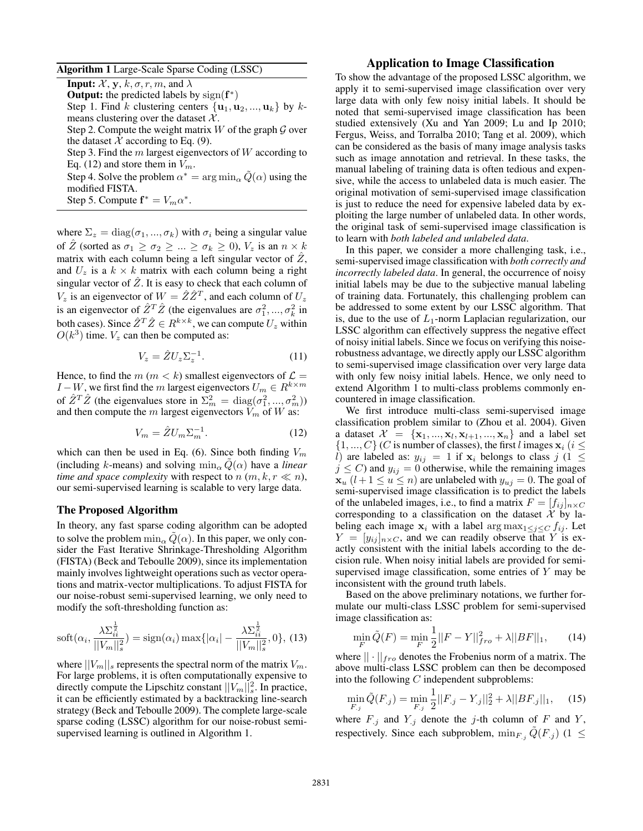Algorithm 1 Large-Scale Sparse Coding (LSSC)

**Input:**  $\mathcal{X}, \mathbf{y}, k, \sigma, r, m$ , and  $\lambda$ **Output:** the predicted labels by  $sign(f^*)$ Step 1. Find k clustering centers  $\{u_1, u_2, ..., u_k\}$  by kmeans clustering over the dataset  $X$ . Step 2. Compute the weight matrix W of the graph  $\mathcal G$  over the dataset X according to Eq.  $(9)$ . Step 3. Find the  $m$  largest eigenvectors of  $W$  according to Eq. (12) and store them in  $V_m$ . Step 4. Solve the problem  $\alpha^* = \arg \min_{\alpha} \tilde{Q}(\alpha)$  using the modified FISTA. Step 5. Compute  $f^* = V_m \alpha^*$ .

where  $\Sigma_z = \text{diag}(\sigma_1, ..., \sigma_k)$  with  $\sigma_i$  being a singular value of  $\overline{Z}$  (sorted as  $\sigma_1 \ge \sigma_2 \ge \ldots \ge \sigma_k \ge 0$ ),  $V_z$  is an  $n \times k$ matrix with each column being a left singular vector of  $\hat{Z}$ , and  $U_z$  is a  $k \times k$  matrix with each column being a right singular vector of  $\hat{Z}$ . It is easy to check that each column of  $V_z$  is an eigenvector of  $W = \hat{Z}\hat{Z}^T$ , and each column of  $U_z$ is an eigenvector of  $\hat{Z}^T \hat{Z}$  (the eigenvalues are  $\sigma_1^2, ..., \sigma_k^2$  in both cases). Since  $\hat{Z}^T\hat{Z} \in R^{k \times k}$ , we can compute  $U_z$  within  $O(k^3)$  time.  $V_z$  can then be computed as:

$$
V_z = \hat{Z} U_z \Sigma_z^{-1}.
$$
 (11)

Hence, to find the  $m (m < k)$  smallest eigenvectors of  $\mathcal{L} =$  $I - W$ , we first find the m largest eigenvectors  $U_m \in R^{k \times m}$ of  $\hat{Z}^T \hat{Z}$  (the eigenvalues store in  $\Sigma_m^2 = \text{diag}(\sigma_1^2, ..., \sigma_m^2)$ ) and then compute the m largest eigenvectors  $V_m$  of W as:

$$
V_m = \hat{Z}U_m \Sigma_m^{-1}.
$$
 (12)

which can then be used in Eq. (6). Since both finding  $V_m$ (including k-means) and solving  $\min_{\alpha} Q(\alpha)$  have a *linear time and space complexity* with respect to  $n (m, k, r \ll n)$ , our semi-supervised learning is scalable to very large data.

## The Proposed Algorithm

In theory, any fast sparse coding algorithm can be adopted to solve the problem  $\min_{\alpha} Q(\alpha)$ . In this paper, we only consider the Fast Iterative Shrinkage-Thresholding Algorithm (FISTA) (Beck and Teboulle 2009), since its implementation mainly involves lightweight operations such as vector operations and matrix-vector multiplications. To adjust FISTA for our noise-robust semi-supervised learning, we only need to modify the soft-thresholding function as:

$$
soft(\alpha_i, \frac{\lambda \Sigma_{ii}^{\frac{1}{2}}}{||V_m||_s^2}) = sign(\alpha_i) max\{|\alpha_i| - \frac{\lambda \Sigma_{ii}^{\frac{1}{2}}}{||V_m||_s^2}, 0\}, (13)
$$

where  $||V_m||_s$  represents the spectral norm of the matrix  $V_m$ . For large problems, it is often computationally expensive to directly compute the Lipschitz constant  $||V_m||_s^2$ . In practice, it can be efficiently estimated by a backtracking line-search strategy (Beck and Teboulle 2009). The complete large-scale sparse coding (LSSC) algorithm for our noise-robust semisupervised learning is outlined in Algorithm 1.

## Application to Image Classification

To show the advantage of the proposed LSSC algorithm, we apply it to semi-supervised image classification over very large data with only few noisy initial labels. It should be noted that semi-supervised image classification has been studied extensively (Xu and Yan 2009; Lu and Ip 2010; Fergus, Weiss, and Torralba 2010; Tang et al. 2009), which can be considered as the basis of many image analysis tasks such as image annotation and retrieval. In these tasks, the manual labeling of training data is often tedious and expensive, while the access to unlabeled data is much easier. The original motivation of semi-supervised image classification is just to reduce the need for expensive labeled data by exploiting the large number of unlabeled data. In other words, the original task of semi-supervised image classification is to learn with *both labeled and unlabeled data*.

In this paper, we consider a more challenging task, i.e., semi-supervised image classification with *both correctly and incorrectly labeled data*. In general, the occurrence of noisy initial labels may be due to the subjective manual labeling of training data. Fortunately, this challenging problem can be addressed to some extent by our LSSC algorithm. That is, due to the use of  $L_1$ -norm Laplacian regularization, our LSSC algorithm can effectively suppress the negative effect of noisy initial labels. Since we focus on verifying this noiserobustness advantage, we directly apply our LSSC algorithm to semi-supervised image classification over very large data with only few noisy initial labels. Hence, we only need to extend Algorithm 1 to multi-class problems commonly encountered in image classification.

We first introduce multi-class semi-supervised image classification problem similar to (Zhou et al. 2004). Given a dataset  $\mathcal{X} = \{ \mathbf{x}_1, ..., \mathbf{x}_l, \mathbf{x}_{l+1}, ..., \mathbf{x}_n \}$  and a label set  $\{1, ..., C\}$  (C is number of classes), the first l images  $x_i$  (i  $\leq$ l) are labeled as:  $y_{ij} = 1$  if  $x_i$  belongs to class j (1  $\leq$  $j \leq C$ ) and  $y_{ij} = 0$  otherwise, while the remaining images  $\mathbf{x}_u$   $(l+1 \le u \le n)$  are unlabeled with  $y_{uj} = 0$ . The goal of semi-supervised image classification is to predict the labels of the unlabeled images, i.e., to find a matrix  $F = [f_{ij}]_{n \times C}$ corresponding to a classification on the dataset  $\mathcal X$  by labeling each image  $x_i$  with a label  $\arg \max_{1 \leq j \leq C} f_{ij}$ . Let  $Y = [y_{ij}]_{n \times C}$ , and we can readily observe that Y is exactly consistent with the initial labels according to the decision rule. When noisy initial labels are provided for semisupervised image classification, some entries of Y may be inconsistent with the ground truth labels.

Based on the above preliminary notations, we further formulate our multi-class LSSC problem for semi-supervised image classification as:

$$
\min_{F} \tilde{Q}(F) = \min_{F} \frac{1}{2} ||F - Y||_{fro}^2 + \lambda ||BF||_1, \qquad (14)
$$

where  $|| \cdot ||_{fro}$  denotes the Frobenius norm of a matrix. The above multi-class LSSC problem can then be decomposed into the following  $C$  independent subproblems:

$$
\min_{F,j} \tilde{Q}(F_{.j}) = \min_{F,j} \frac{1}{2} ||F_{.j} - Y_{.j}||_2^2 + \lambda ||BF_{.j}||_1, \quad (15)
$$

where  $F_{.j}$  and  $Y_{.j}$  denote the j-th column of F and Y, respectively. Since each subproblem,  $\min_{F_i} \tilde{Q}(F_i)$  (1  $\leq$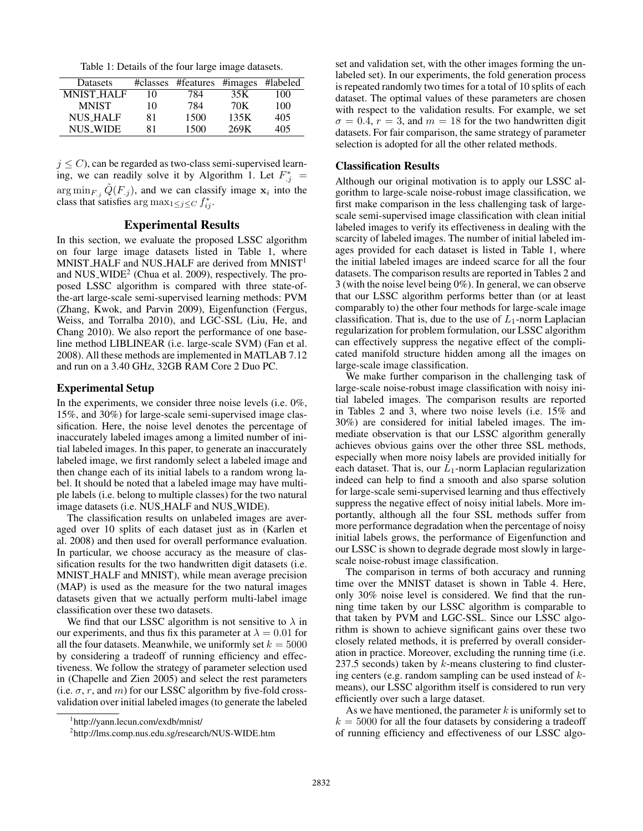Table 1: Details of the four large image datasets.

| Datasets          | #classes | #features #images #labeled |      |     |
|-------------------|----------|----------------------------|------|-----|
| <b>MNIST HALF</b> | 10       | 784                        | 35K  | 100 |
| <b>MNIST</b>      | 10       | 784                        | 70K  | 100 |
| <b>NUS HALF</b>   | 81       | 1500                       | 135K | 405 |
| <b>NUS WIDE</b>   | 81       | 1500                       | 269K | 405 |

 $j \leq C$ ), can be regarded as two-class semi-supervised learning, we can readily solve it by Algorithm 1. Let  $F_j^*$  =  $\arg \min_{F, j} \tilde{Q}(F, j)$ , and we can classify image  $x_i$  into the class that satisfies  $\arg \max_{1 \leq j \leq C} f_{ij}^*$ .

## Experimental Results

In this section, we evaluate the proposed LSSC algorithm on four large image datasets listed in Table 1, where  $MNIST\_HALF$  and  $NUS\_HALF$  are derived from  $MNIST<sup>1</sup>$ and NUS\_WIDE<sup>2</sup> (Chua et al. 2009), respectively. The proposed LSSC algorithm is compared with three state-ofthe-art large-scale semi-supervised learning methods: PVM (Zhang, Kwok, and Parvin 2009), Eigenfunction (Fergus, Weiss, and Torralba 2010), and LGC-SSL (Liu, He, and Chang 2010). We also report the performance of one baseline method LIBLINEAR (i.e. large-scale SVM) (Fan et al. 2008). All these methods are implemented in MATLAB 7.12 and run on a 3.40 GHz, 32GB RAM Core 2 Duo PC.

## Experimental Setup

In the experiments, we consider three noise levels (i.e. 0%, 15%, and 30%) for large-scale semi-supervised image classification. Here, the noise level denotes the percentage of inaccurately labeled images among a limited number of initial labeled images. In this paper, to generate an inaccurately labeled image, we first randomly select a labeled image and then change each of its initial labels to a random wrong label. It should be noted that a labeled image may have multiple labels (i.e. belong to multiple classes) for the two natural image datasets (i.e. NUS HALF and NUS WIDE).

The classification results on unlabeled images are averaged over 10 splits of each dataset just as in (Karlen et al. 2008) and then used for overall performance evaluation. In particular, we choose accuracy as the measure of classification results for the two handwritten digit datasets (i.e. MNIST HALF and MNIST), while mean average precision (MAP) is used as the measure for the two natural images datasets given that we actually perform multi-label image classification over these two datasets.

We find that our LSSC algorithm is not sensitive to  $\lambda$  in our experiments, and thus fix this parameter at  $\lambda = 0.01$  for all the four datasets. Meanwhile, we uniformly set  $k = 5000$ by considering a tradeoff of running efficiency and effectiveness. We follow the strategy of parameter selection used in (Chapelle and Zien 2005) and select the rest parameters (i.e.  $\sigma$ , r, and m) for our LSSC algorithm by five-fold crossvalidation over initial labeled images (to generate the labeled

set and validation set, with the other images forming the unlabeled set). In our experiments, the fold generation process is repeated randomly two times for a total of 10 splits of each dataset. The optimal values of these parameters are chosen with respect to the validation results. For example, we set  $\sigma = 0.4$ ,  $r = 3$ , and  $m = 18$  for the two handwritten digit datasets. For fair comparison, the same strategy of parameter selection is adopted for all the other related methods.

## Classification Results

Although our original motivation is to apply our LSSC algorithm to large-scale noise-robust image classification, we first make comparison in the less challenging task of largescale semi-supervised image classification with clean initial labeled images to verify its effectiveness in dealing with the scarcity of labeled images. The number of initial labeled images provided for each dataset is listed in Table 1, where the initial labeled images are indeed scarce for all the four datasets. The comparison results are reported in Tables 2 and 3 (with the noise level being 0%). In general, we can observe that our LSSC algorithm performs better than (or at least comparably to) the other four methods for large-scale image classification. That is, due to the use of  $L_1$ -norm Laplacian regularization for problem formulation, our LSSC algorithm can effectively suppress the negative effect of the complicated manifold structure hidden among all the images on large-scale image classification.

We make further comparison in the challenging task of large-scale noise-robust image classification with noisy initial labeled images. The comparison results are reported in Tables 2 and 3, where two noise levels (i.e. 15% and 30%) are considered for initial labeled images. The immediate observation is that our LSSC algorithm generally achieves obvious gains over the other three SSL methods, especially when more noisy labels are provided initially for each dataset. That is, our  $L_1$ -norm Laplacian regularization indeed can help to find a smooth and also sparse solution for large-scale semi-supervised learning and thus effectively suppress the negative effect of noisy initial labels. More importantly, although all the four SSL methods suffer from more performance degradation when the percentage of noisy initial labels grows, the performance of Eigenfunction and our LSSC is shown to degrade degrade most slowly in largescale noise-robust image classification.

The comparison in terms of both accuracy and running time over the MNIST dataset is shown in Table 4. Here, only 30% noise level is considered. We find that the running time taken by our LSSC algorithm is comparable to that taken by PVM and LGC-SSL. Since our LSSC algorithm is shown to achieve significant gains over these two closely related methods, it is preferred by overall consideration in practice. Moreover, excluding the running time (i.e. 237.5 seconds) taken by  $k$ -means clustering to find clustering centers (e.g. random sampling can be used instead of  $k$ means), our LSSC algorithm itself is considered to run very efficiently over such a large dataset.

As we have mentioned, the parameter  $k$  is uniformly set to  $k = 5000$  for all the four datasets by considering a tradeoff of running efficiency and effectiveness of our LSSC algo-

<sup>1</sup> http://yann.lecun.com/exdb/mnist/

<sup>2</sup> http://lms.comp.nus.edu.sg/research/NUS-WIDE.htm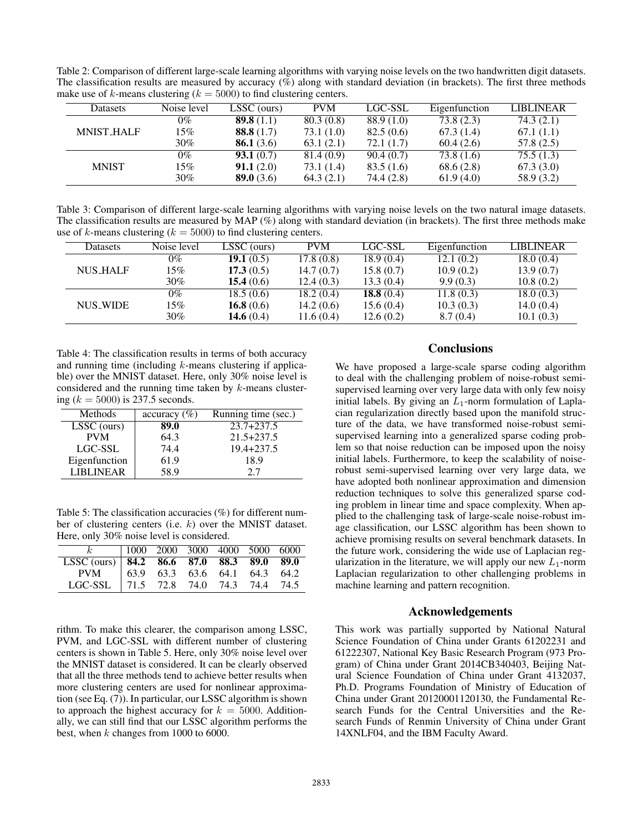Table 2: Comparison of different large-scale learning algorithms with varying noise levels on the two handwritten digit datasets. The classification results are measured by accuracy (%) along with standard deviation (in brackets). The first three methods make use of k-means clustering ( $k = 5000$ ) to find clustering centers.

| Datasets          | Noise level | LSSC (ours)         | <b>PVM</b> | LGC-SSL      | Eigenfunction | <b>LIBLINEAR</b> |
|-------------------|-------------|---------------------|------------|--------------|---------------|------------------|
| <b>MNIST_HALF</b> | 0%          | <b>89.8</b> $(1.1)$ | 80.3(0.8)  | 88.9 (1.0)   | 73.8(2.3)     | 74.3(2.1)        |
|                   | 15%         | <b>88.8</b> $(1.7)$ | 73.1 (1.0) | 82.5(0.6)    | 67.3(1.4)     | 67.1(1.1)        |
|                   | 30%         | <b>86.1</b> $(3.6)$ | 63.1(2.1)  | 72.1 $(1.7)$ | 60.4(2.6)     | 57.8(2.5)        |
| <b>MNIST</b>      | 0%          | 93.1(0.7)           | 81.4 (0.9) | 90.4(0.7)    | 73.8 (1.6)    | 75.5(1.3)        |
|                   | 15%         | 91.1(2.0)           | 73.1 (1.4) | 83.5(1.6)    | 68.6(2.8)     | 67.3(3.0)        |
|                   | $30\%$      | <b>89.0</b> $(3.6)$ | 64.3(2.1)  | 74.4 (2.8)   | 61.9(4.0)     | 58.9 (3.2)       |

Table 3: Comparison of different large-scale learning algorithms with varying noise levels on the two natural image datasets. The classification results are measured by MAP  $(\%)$  along with standard deviation (in brackets). The first three methods make use of k-means clustering ( $k = 5000$ ) to find clustering centers.

| Datasets        | Noise level | LSSC (ours)  | <b>PVM</b> | LGC-SSL      | Eigenfunction | <b>LIBLINEAR</b> |
|-----------------|-------------|--------------|------------|--------------|---------------|------------------|
| <b>NUS_HALF</b> | 0%          | 19.1 $(0.5)$ | 17.8(0.8)  | 18.9(0.4)    | 12.1(0.2)     | 18.0(0.4)        |
|                 | 15%         | 17.3(0.5)    | 14.7(0.7)  | 15.8(0.7)    | 10.9(0.2)     | 13.9(0.7)        |
|                 | $30\%$      | 15.4 $(0.6)$ | 12.4(0.3)  | 13.3(0.4)    | 9.9(0.3)      | 10.8(0.2)        |
| <b>NUS_WIDE</b> | $0\%$       | 18.5(0.6)    | 18.2(0.4)  | 18.8 $(0.4)$ | 11.8(0.3)     | 18.0(0.3)        |
|                 | 15%         | 16.8 $(0.6)$ | 14.2(0.6)  | 15.6(0.4)    | 10.3(0.3)     | 14.0(0.4)        |
|                 | $30\%$      | 14.6 $(0.4)$ | 11.6(0.4)  | 12.6(0.2)    | 8.7(0.4)      | 10.1(0.3)        |

Table 4: The classification results in terms of both accuracy and running time (including  $k$ -means clustering if applicable) over the MNIST dataset. Here, only 30% noise level is considered and the running time taken by  $k$ -means clustering  $(k = 5000)$  is 237.5 seconds.

| Methods          | accuracy $(\% )$ | Running time (sec.) |
|------------------|------------------|---------------------|
| LSSC (ours)      | 89.0             | $23.7 + 237.5$      |
| <b>PVM</b>       | 64.3             | $21.5 + 237.5$      |
| LGC-SSL          | 74.4             | $19.4 + 237.5$      |
| Eigenfunction    | 61.9             | 18.9                |
| <b>LIBLINEAR</b> | 58.9             | 2.7                 |

Table 5: The classification accuracies (%) for different number of clustering centers (i.e. k) over the MNIST dataset. Here, only 30% noise level is considered.

|                                                                             | $1000$ 2000 3000 4000 5000 6000 |  |  |  |
|-----------------------------------------------------------------------------|---------------------------------|--|--|--|
|                                                                             |                                 |  |  |  |
| LSSC (ours) 84.2 86.6 87.0 88.3 89.0 89.0 PVM 63.9 63.3 63.6 64.1 64.3 64.2 |                                 |  |  |  |
| LGC-SSL   71.5 72.8 74.0 74.3 74.4 74.5                                     |                                 |  |  |  |

rithm. To make this clearer, the comparison among LSSC, PVM, and LGC-SSL with different number of clustering centers is shown in Table 5. Here, only 30% noise level over the MNIST dataset is considered. It can be clearly observed that all the three methods tend to achieve better results when more clustering centers are used for nonlinear approximation (see Eq. (7)). In particular, our LSSC algorithm is shown to approach the highest accuracy for  $k = 5000$ . Additionally, we can still find that our LSSC algorithm performs the best, when  $k$  changes from 1000 to 6000.

## **Conclusions**

We have proposed a large-scale sparse coding algorithm to deal with the challenging problem of noise-robust semisupervised learning over very large data with only few noisy initial labels. By giving an  $L_1$ -norm formulation of Laplacian regularization directly based upon the manifold structure of the data, we have transformed noise-robust semisupervised learning into a generalized sparse coding problem so that noise reduction can be imposed upon the noisy initial labels. Furthermore, to keep the scalability of noiserobust semi-supervised learning over very large data, we have adopted both nonlinear approximation and dimension reduction techniques to solve this generalized sparse coding problem in linear time and space complexity. When applied to the challenging task of large-scale noise-robust image classification, our LSSC algorithm has been shown to achieve promising results on several benchmark datasets. In the future work, considering the wide use of Laplacian regularization in the literature, we will apply our new  $L_1$ -norm Laplacian regularization to other challenging problems in machine learning and pattern recognition.

## Acknowledgements

This work was partially supported by National Natural Science Foundation of China under Grants 61202231 and 61222307, National Key Basic Research Program (973 Program) of China under Grant 2014CB340403, Beijing Natural Science Foundation of China under Grant 4132037, Ph.D. Programs Foundation of Ministry of Education of China under Grant 20120001120130, the Fundamental Research Funds for the Central Universities and the Research Funds of Renmin University of China under Grant 14XNLF04, and the IBM Faculty Award.